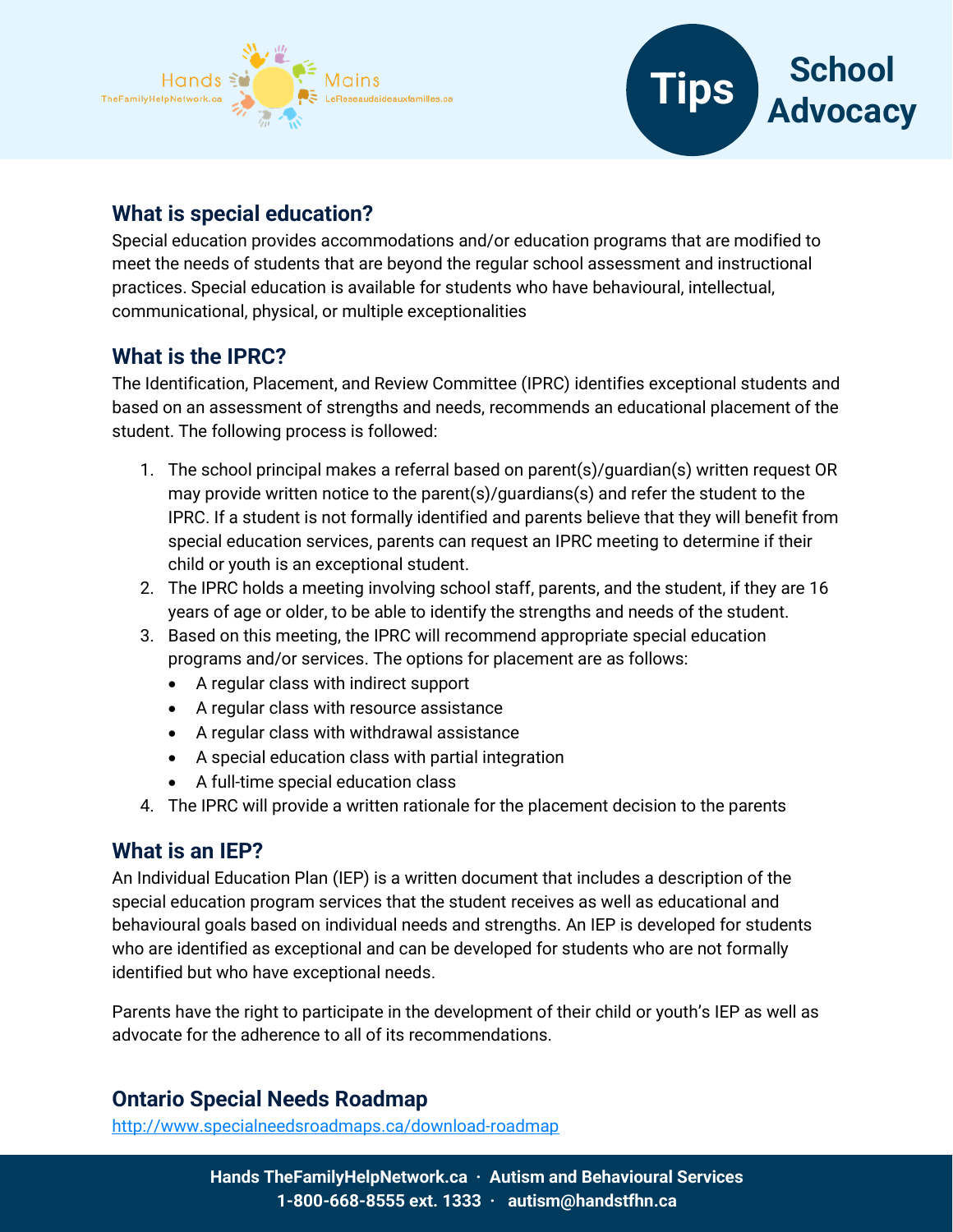



# **What is special education?**

Special education provides accommodations and/or education programs that are modified to meet the needs of students that are beyond the regular school assessment and instructional practices. Special education is available for students who have behavioural, intellectual, communicational, physical, or multiple exceptionalities

### **What is the IPRC?**

The Identification, Placement, and Review Committee (IPRC) identifies exceptional students and based on an assessment of strengths and needs, recommends an educational placement of the student. The following process is followed:

- 1. The school principal makes a referral based on parent(s)/guardian(s) written request OR may provide written notice to the parent(s)/guardians(s) and refer the student to the IPRC. If a student is not formally identified and parents believe that they will benefit from special education services, parents can request an IPRC meeting to determine if their child or youth is an exceptional student.
- 2. The IPRC holds a meeting involving school staff, parents, and the student, if they are 16 years of age or older, to be able to identify the strengths and needs of the student.
- 3. Based on this meeting, the IPRC will recommend appropriate special education programs and/or services. The options for placement are as follows:
	- A regular class with indirect support
	- A regular class with resource assistance
	- A regular class with withdrawal assistance
	- A special education class with partial integration
	- A full-time special education class
- 4. The IPRC will provide a written rationale for the placement decision to the parents

### **What is an IEP?**

An Individual Education Plan (IEP) is a written document that includes a description of the special education program services that the student receives as well as educational and behavioural goals based on individual needs and strengths. An IEP is developed for students who are identified as exceptional and can be developed for students who are not formally identified but who have exceptional needs.

Parents have the right to participate in the development of their child or youth's IEP as well as advocate for the adherence to all of its recommendations.

### **Ontario Special Needs Roadmap**

<http://www.specialneedsroadmaps.ca/download-roadmap>